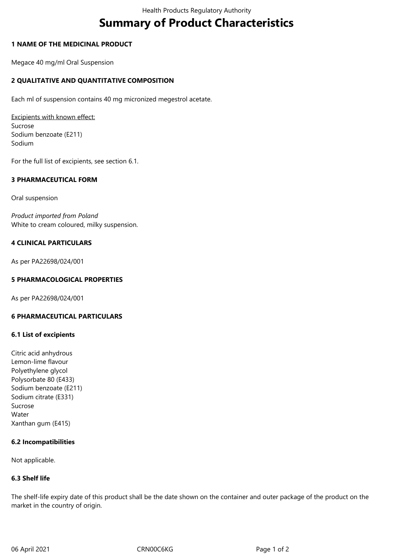# **Summary of Product Characteristics**

# **1 NAME OF THE MEDICINAL PRODUCT**

Megace 40 mg/ml Oral Suspension

# **2 QUALITATIVE AND QUANTITATIVE COMPOSITION**

Each ml of suspension contains 40 mg micronized megestrol acetate.

Excipients with known effect: Sucrose Sodium benzoate (E211) Sodium

For the full list of excipients, see section 6.1.

# **3 PHARMACEUTICAL FORM**

Oral suspension

*Product imported from Poland* White to cream coloured, milky suspension.

# **4 CLINICAL PARTICULARS**

As per PA22698/024/001

# **5 PHARMACOLOGICAL PROPERTIES**

As per PA22698/024/001

#### **6 PHARMACEUTICAL PARTICULARS**

## **6.1 List of excipients**

Citric acid anhydrous Lemon-lime flavour Polyethylene glycol Polysorbate 80 (E433) Sodium benzoate (E211) Sodium citrate (E331) Sucrose Water Xanthan gum (E415)

#### **6.2 Incompatibilities**

Not applicable.

#### **6.3 Shelf life**

The shelf-life expiry date of this product shall be the date shown on the container and outer package of the product on the market in the country of origin.